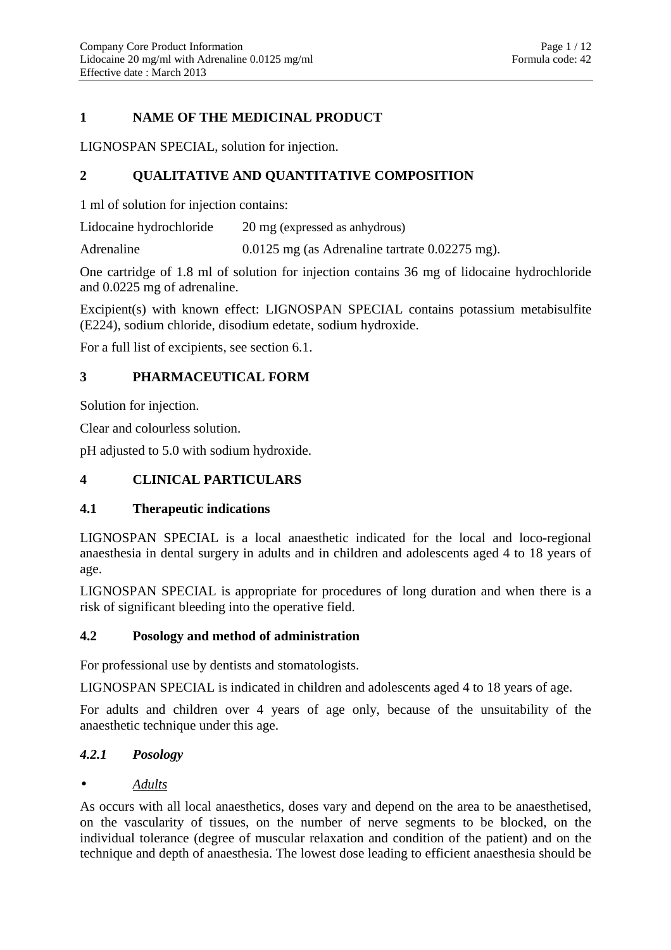# **1 NAME OF THE MEDICINAL PRODUCT**

LIGNOSPAN SPECIAL, solution for injection.

# **2 QUALITATIVE AND QUANTITATIVE COMPOSITION**

1 ml of solution for injection contains:

Lidocaine hydrochloride 20 mg (expressed as anhydrous)

Adrenaline 0.0125 mg (as Adrenaline tartrate 0.02275 mg).

One cartridge of 1.8 ml of solution for injection contains 36 mg of lidocaine hydrochloride and 0.0225 mg of adrenaline.

Excipient(s) with known effect: LIGNOSPAN SPECIAL contains potassium metabisulfite (E224), sodium chloride, disodium edetate, sodium hydroxide.

For a full list of excipients, see section 6.1.

# **3 PHARMACEUTICAL FORM**

Solution for injection.

Clear and colourless solution.

pH adjusted to 5.0 with sodium hydroxide.

# **4 CLINICAL PARTICULARS**

# **4.1 Therapeutic indications**

LIGNOSPAN SPECIAL is a local anaesthetic indicated for the local and loco-regional anaesthesia in dental surgery in adults and in children and adolescents aged 4 to 18 years of age.

LIGNOSPAN SPECIAL is appropriate for procedures of long duration and when there is a risk of significant bleeding into the operative field.

### **4.2 Posology and method of administration**

For professional use by dentists and stomatologists.

LIGNOSPAN SPECIAL is indicated in children and adolescents aged 4 to 18 years of age.

For adults and children over 4 years of age only, because of the unsuitability of the anaesthetic technique under this age.

# *4.2.1 Posology*

# • *Adults*

As occurs with all local anaesthetics, doses vary and depend on the area to be anaesthetised, on the vascularity of tissues, on the number of nerve segments to be blocked, on the individual tolerance (degree of muscular relaxation and condition of the patient) and on the technique and depth of anaesthesia. The lowest dose leading to efficient anaesthesia should be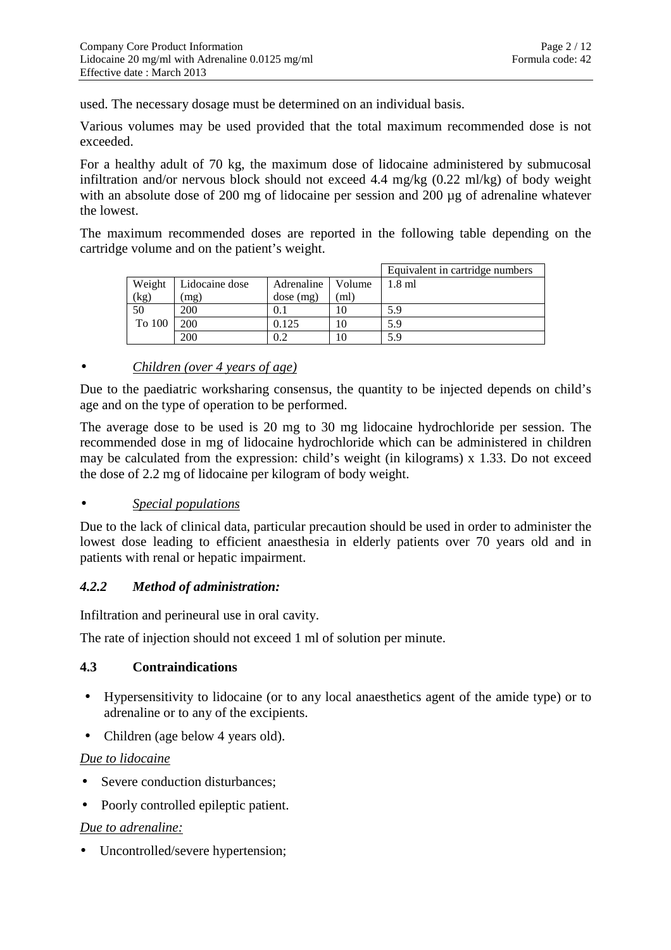used. The necessary dosage must be determined on an individual basis.

Various volumes may be used provided that the total maximum recommended dose is not exceeded.

For a healthy adult of 70 kg, the maximum dose of lidocaine administered by submucosal infiltration and/or nervous block should not exceed 4.4 mg/kg (0.22 ml/kg) of body weight with an absolute dose of 200 mg of lidocaine per session and 200 µg of adrenaline whatever the lowest.

The maximum recommended doses are reported in the following table depending on the cartridge volume and on the patient's weight.

|        |                |            |        | Equivalent in cartridge numbers |
|--------|----------------|------------|--------|---------------------------------|
| Weight | Lidocaine dose | Adrenaline | Volume | $1.8$ ml                        |
| (kg)   | mg)            | dose (mg)  | (ml    |                                 |
| 50     | 200            | 0.1        | 10     | 5.9                             |
| To 100 | 200            | 0.125      | 10     | 5.9                             |
|        | 200            |            | 10     | 5.9                             |

## • *Children (over 4 years of age)*

Due to the paediatric worksharing consensus, the quantity to be injected depends on child's age and on the type of operation to be performed.

The average dose to be used is 20 mg to 30 mg lidocaine hydrochloride per session. The recommended dose in mg of lidocaine hydrochloride which can be administered in children may be calculated from the expression: child's weight (in kilograms) x 1.33. Do not exceed the dose of 2.2 mg of lidocaine per kilogram of body weight.

### • *Special populations*

Due to the lack of clinical data, particular precaution should be used in order to administer the lowest dose leading to efficient anaesthesia in elderly patients over 70 years old and in patients with renal or hepatic impairment.

### *4.2.2 Method of administration:*

Infiltration and perineural use in oral cavity.

The rate of injection should not exceed 1 ml of solution per minute.

### **4.3 Contraindications**

- Hypersensitivity to lidocaine (or to any local anaesthetics agent of the amide type) or to adrenaline or to any of the excipients.
- Children (age below 4 years old).

### *Due to lidocaine*

- Severe conduction disturbances;
- Poorly controlled epileptic patient.

### *Due to adrenaline:*

• Uncontrolled/severe hypertension;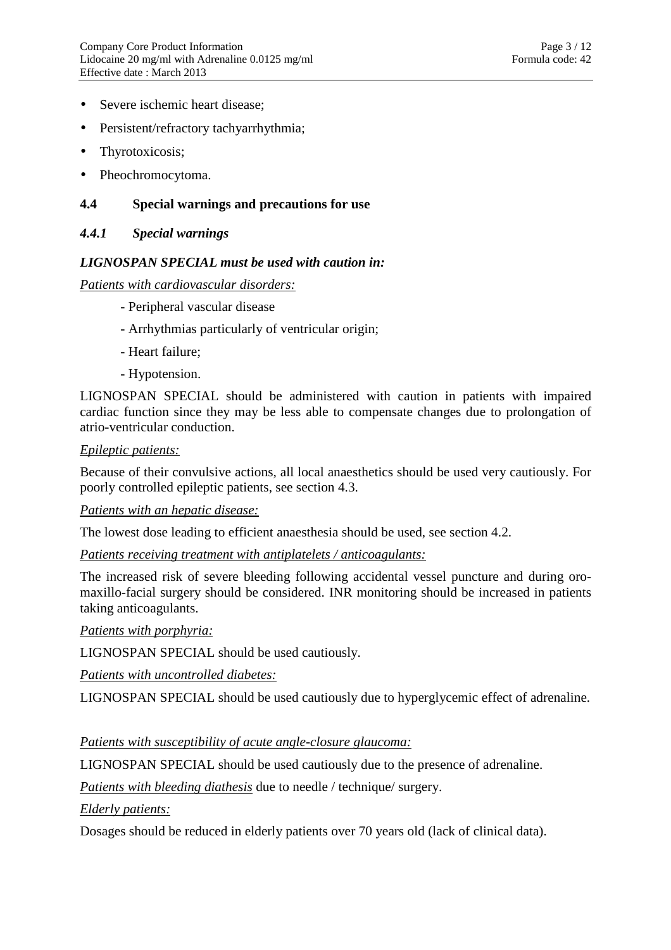- Severe ischemic heart disease:
- Persistent/refractory tachyarrhythmia;
- Thyrotoxicosis;
- Pheochromocytoma.

## **4.4 Special warnings and precautions for use**

### *4.4.1 Special warnings*

### *LIGNOSPAN SPECIAL must be used with caution in:*

*Patients with cardiovascular disorders:* 

- Peripheral vascular disease
- Arrhythmias particularly of ventricular origin;
- Heart failure;
- Hypotension.

LIGNOSPAN SPECIAL should be administered with caution in patients with impaired cardiac function since they may be less able to compensate changes due to prolongation of atrio-ventricular conduction.

### *Epileptic patients:*

Because of their convulsive actions, all local anaesthetics should be used very cautiously. For poorly controlled epileptic patients, see section 4.3.

### *Patients with an hepatic disease:*

The lowest dose leading to efficient anaesthesia should be used, see section 4.2.

### *Patients receiving treatment with antiplatelets / anticoagulants:*

The increased risk of severe bleeding following accidental vessel puncture and during oromaxillo-facial surgery should be considered. INR monitoring should be increased in patients taking anticoagulants.

*Patients with porphyria:* 

LIGNOSPAN SPECIAL should be used cautiously.

*Patients with uncontrolled diabetes:* 

LIGNOSPAN SPECIAL should be used cautiously due to hyperglycemic effect of adrenaline.

### *Patients with susceptibility of acute angle-closure glaucoma:*

LIGNOSPAN SPECIAL should be used cautiously due to the presence of adrenaline.

*Patients with bleeding diathesis* due to needle / technique/ surgery.

*Elderly patients:* 

Dosages should be reduced in elderly patients over 70 years old (lack of clinical data).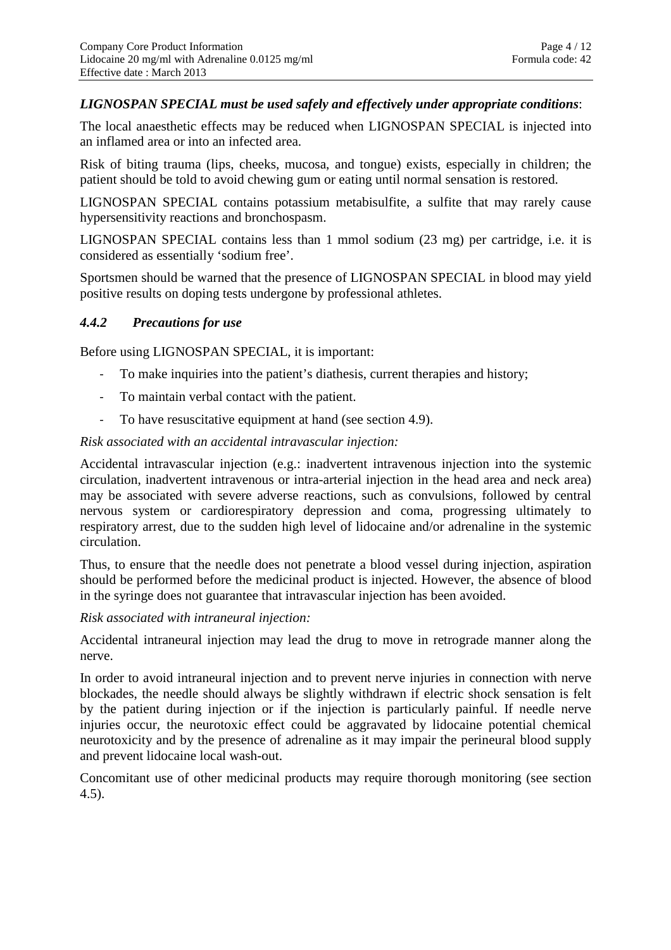## *LIGNOSPAN SPECIAL must be used safely and effectively under appropriate conditions*:

The local anaesthetic effects may be reduced when LIGNOSPAN SPECIAL is injected into an inflamed area or into an infected area.

Risk of biting trauma (lips, cheeks, mucosa, and tongue) exists, especially in children; the patient should be told to avoid chewing gum or eating until normal sensation is restored.

LIGNOSPAN SPECIAL contains potassium metabisulfite, a sulfite that may rarely cause hypersensitivity reactions and bronchospasm.

LIGNOSPAN SPECIAL contains less than 1 mmol sodium (23 mg) per cartridge, i.e. it is considered as essentially 'sodium free'.

Sportsmen should be warned that the presence of LIGNOSPAN SPECIAL in blood may yield positive results on doping tests undergone by professional athletes.

### *4.4.2 Precautions for use*

Before using LIGNOSPAN SPECIAL, it is important:

- To make inquiries into the patient's diathesis, current therapies and history;
- To maintain verbal contact with the patient.
- To have resuscitative equipment at hand (see section 4.9).

#### *Risk associated with an accidental intravascular injection:*

Accidental intravascular injection (e.g.: inadvertent intravenous injection into the systemic circulation, inadvertent intravenous or intra-arterial injection in the head area and neck area) may be associated with severe adverse reactions, such as convulsions, followed by central nervous system or cardiorespiratory depression and coma, progressing ultimately to respiratory arrest, due to the sudden high level of lidocaine and/or adrenaline in the systemic circulation.

Thus, to ensure that the needle does not penetrate a blood vessel during injection, aspiration should be performed before the medicinal product is injected. However, the absence of blood in the syringe does not guarantee that intravascular injection has been avoided.

*Risk associated with intraneural injection:* 

Accidental intraneural injection may lead the drug to move in retrograde manner along the nerve.

In order to avoid intraneural injection and to prevent nerve injuries in connection with nerve blockades, the needle should always be slightly withdrawn if electric shock sensation is felt by the patient during injection or if the injection is particularly painful. If needle nerve injuries occur, the neurotoxic effect could be aggravated by lidocaine potential chemical neurotoxicity and by the presence of adrenaline as it may impair the perineural blood supply and prevent lidocaine local wash-out.

Concomitant use of other medicinal products may require thorough monitoring (see section 4.5).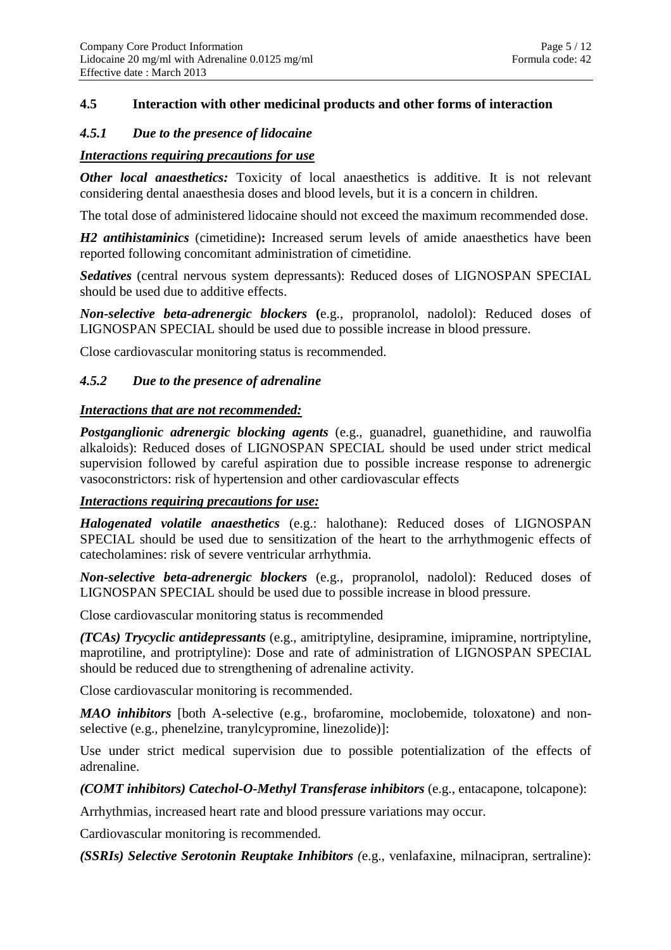## **4.5 Interaction with other medicinal products and other forms of interaction**

#### *4.5.1 Due to the presence of lidocaine*

### *Interactions requiring precautions for use*

*Other local anaesthetics:* Toxicity of local anaesthetics is additive. It is not relevant considering dental anaesthesia doses and blood levels, but it is a concern in children.

The total dose of administered lidocaine should not exceed the maximum recommended dose.

*H2 antihistaminics* (cimetidine)**:** Increased serum levels of amide anaesthetics have been reported following concomitant administration of cimetidine.

*Sedatives* (central nervous system depressants): Reduced doses of LIGNOSPAN SPECIAL should be used due to additive effects.

*Non-selective beta-adrenergic blockers* **(**e.g., propranolol, nadolol): Reduced doses of LIGNOSPAN SPECIAL should be used due to possible increase in blood pressure.

Close cardiovascular monitoring status is recommended.

## *4.5.2 Due to the presence of adrenaline*

#### *Interactions that are not recommended:*

*Postganglionic adrenergic blocking agents* (e.g., guanadrel, guanethidine, and rauwolfia alkaloids): Reduced doses of LIGNOSPAN SPECIAL should be used under strict medical supervision followed by careful aspiration due to possible increase response to adrenergic vasoconstrictors: risk of hypertension and other cardiovascular effects

#### *Interactions requiring precautions for use:*

*Halogenated volatile anaesthetics* (e.g.: halothane): Reduced doses of LIGNOSPAN SPECIAL should be used due to sensitization of the heart to the arrhythmogenic effects of catecholamines: risk of severe ventricular arrhythmia.

*Non-selective beta-adrenergic blockers* (e.g., propranolol, nadolol): Reduced doses of LIGNOSPAN SPECIAL should be used due to possible increase in blood pressure.

Close cardiovascular monitoring status is recommended

*(TCAs) Trycyclic antidepressants* (e.g., amitriptyline, desipramine, imipramine, nortriptyline, maprotiline, and protriptyline): Dose and rate of administration of LIGNOSPAN SPECIAL should be reduced due to strengthening of adrenaline activity.

Close cardiovascular monitoring is recommended.

*MAO inhibitors* [both A-selective (e.g., brofaromine, moclobemide, toloxatone) and nonselective (e.g., phenelzine, tranylcypromine, linezolide)]:

Use under strict medical supervision due to possible potentialization of the effects of adrenaline.

*(COMT inhibitors) Catechol-O-Methyl Transferase inhibitors* (e.g., entacapone, tolcapone):

Arrhythmias, increased heart rate and blood pressure variations may occur.

Cardiovascular monitoring is recommended.

*(SSRIs) Selective Serotonin Reuptake Inhibitors (*e.g., venlafaxine, milnacipran, sertraline):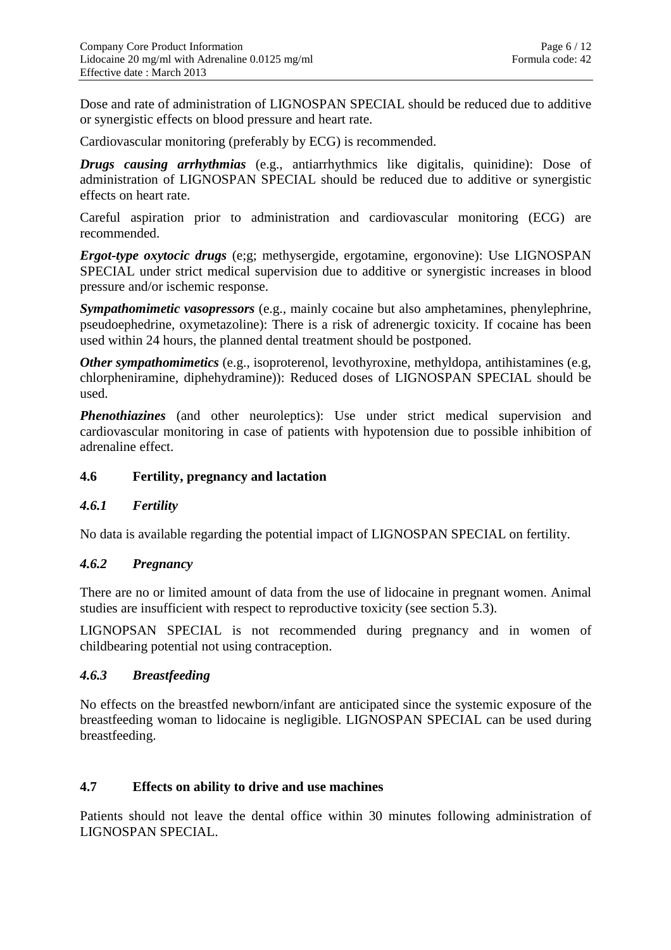Dose and rate of administration of LIGNOSPAN SPECIAL should be reduced due to additive or synergistic effects on blood pressure and heart rate.

Cardiovascular monitoring (preferably by ECG) is recommended.

*Drugs causing arrhythmias* (e.g., antiarrhythmics like digitalis, quinidine): Dose of administration of LIGNOSPAN SPECIAL should be reduced due to additive or synergistic effects on heart rate.

Careful aspiration prior to administration and cardiovascular monitoring (ECG) are recommended.

*Ergot-type oxytocic drugs* (e;g; methysergide, ergotamine, ergonovine): Use LIGNOSPAN SPECIAL under strict medical supervision due to additive or synergistic increases in blood pressure and/or ischemic response.

*Sympathomimetic vasopressors* (e.g., mainly cocaine but also amphetamines, phenylephrine, pseudoephedrine, oxymetazoline): There is a risk of adrenergic toxicity. If cocaine has been used within 24 hours, the planned dental treatment should be postponed.

*Other sympathomimetics* (e.g., isoproterenol, levothyroxine, methyldopa, antihistamines (e.g, chlorpheniramine, diphehydramine)): Reduced doses of LIGNOSPAN SPECIAL should be used.

*Phenothiazines* (and other neuroleptics): Use under strict medical supervision and cardiovascular monitoring in case of patients with hypotension due to possible inhibition of adrenaline effect.

## **4.6 Fertility, pregnancy and lactation**

# *4.6.1 Fertility*

No data is available regarding the potential impact of LIGNOSPAN SPECIAL on fertility.

### *4.6.2 Pregnancy*

There are no or limited amount of data from the use of lidocaine in pregnant women. Animal studies are insufficient with respect to reproductive toxicity (see section 5.3).

LIGNOPSAN SPECIAL is not recommended during pregnancy and in women of childbearing potential not using contraception.

## *4.6.3 Breastfeeding*

No effects on the breastfed newborn/infant are anticipated since the systemic exposure of the breastfeeding woman to lidocaine is negligible. LIGNOSPAN SPECIAL can be used during breastfeeding.

### **4.7 Effects on ability to drive and use machines**

Patients should not leave the dental office within 30 minutes following administration of LIGNOSPAN SPECIAL.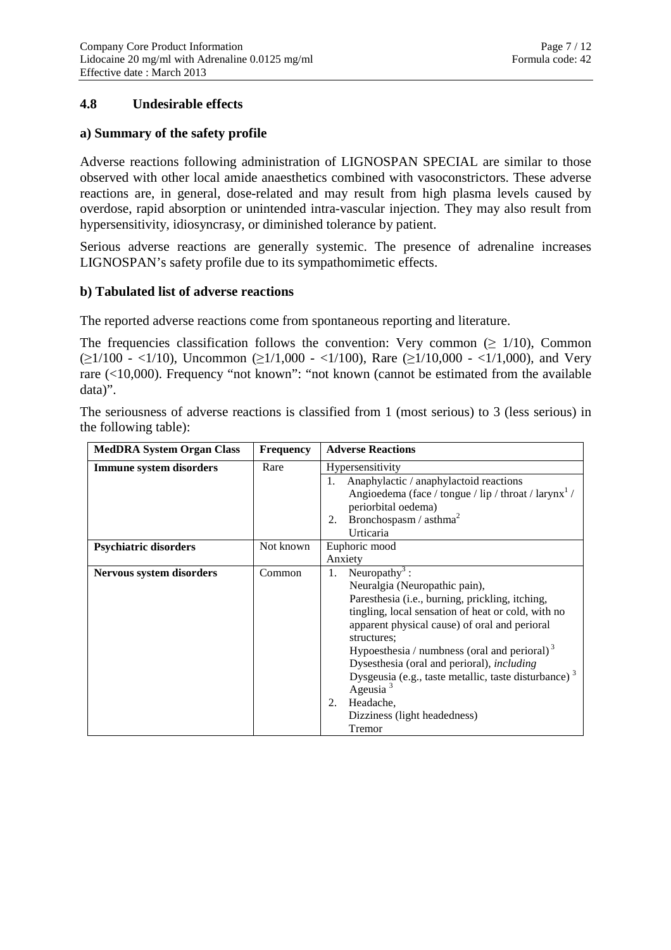# **4.8 Undesirable effects**

#### **a) Summary of the safety profile**

Adverse reactions following administration of LIGNOSPAN SPECIAL are similar to those observed with other local amide anaesthetics combined with vasoconstrictors. These adverse reactions are, in general, dose-related and may result from high plasma levels caused by overdose, rapid absorption or unintended intra-vascular injection. They may also result from hypersensitivity, idiosyncrasy, or diminished tolerance by patient.

Serious adverse reactions are generally systemic. The presence of adrenaline increases LIGNOSPAN's safety profile due to its sympathomimetic effects.

#### **b) Tabulated list of adverse reactions**

The reported adverse reactions come from spontaneous reporting and literature.

The frequencies classification follows the convention: Very common ( $\geq 1/10$ ), Common  $(\geq 1/100 - \langle 1/10 \rangle)$ , Uncommon  $(\geq 1/1,000 - \langle 1/100 \rangle)$ , Rare  $(\geq 1/10,000 - \langle 1/1,000 \rangle)$ , and Very rare (<10,000). Frequency "not known": "not known (cannot be estimated from the available data)".

The seriousness of adverse reactions is classified from 1 (most serious) to 3 (less serious) in the following table):

| <b>MedDRA System Organ Class</b> | <b>Frequency</b> | <b>Adverse Reactions</b>                                         |  |
|----------------------------------|------------------|------------------------------------------------------------------|--|
| Immune system disorders          | Rare             | Hypersensitivity                                                 |  |
|                                  |                  | Anaphylactic / anaphylactoid reactions                           |  |
|                                  |                  | Angioedema (face / tongue / lip / throat / larynx <sup>1</sup> / |  |
|                                  |                  | periorbital oedema)                                              |  |
|                                  |                  | Bronchospasm / $\text{asthma}^2$<br>2.                           |  |
|                                  |                  | Urticaria                                                        |  |
| <b>Psychiatric disorders</b>     | Not known        | Euphoric mood                                                    |  |
|                                  |                  | Anxiety                                                          |  |
| Nervous system disorders         | Common           | Neuropathy <sup>3</sup> :<br>1.                                  |  |
|                                  |                  | Neuralgia (Neuropathic pain),                                    |  |
|                                  |                  | Paresthesia (i.e., burning, prickling, itching,                  |  |
|                                  |                  | tingling, local sensation of heat or cold, with no               |  |
|                                  |                  | apparent physical cause) of oral and perioral                    |  |
|                                  |                  | structures;                                                      |  |
|                                  |                  | Hypoesthesia / numbress (oral and perioral) $3$                  |  |
|                                  |                  | Dysesthesia (oral and perioral), <i>including</i>                |  |
|                                  |                  | Dysgeusia (e.g., taste metallic, taste disturbance) $3$          |  |
|                                  |                  | Ageusia $3$                                                      |  |
|                                  |                  | Headache,<br>2.                                                  |  |
|                                  |                  | Dizziness (light headedness)                                     |  |
|                                  |                  | Tremor                                                           |  |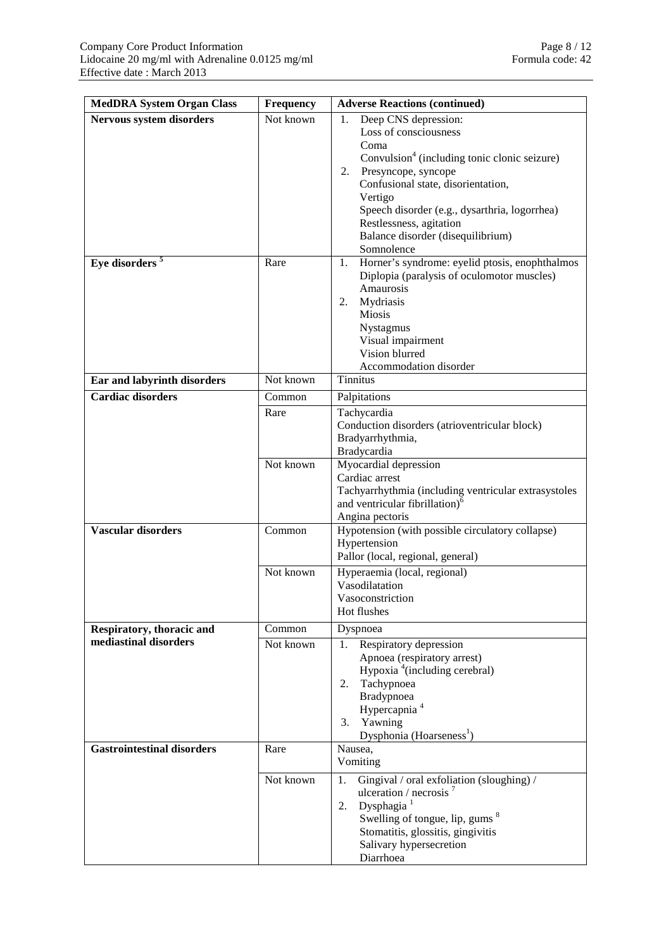| <b>MedDRA System Organ Class</b><br><b>Frequency</b> |                                                                                                                                   | <b>Adverse Reactions (continued)</b>                                                                                                                                                                                                                                                                                   |
|------------------------------------------------------|-----------------------------------------------------------------------------------------------------------------------------------|------------------------------------------------------------------------------------------------------------------------------------------------------------------------------------------------------------------------------------------------------------------------------------------------------------------------|
| Nervous system disorders                             | Not known                                                                                                                         | Deep CNS depression:<br>1.<br>Loss of consciousness<br>Coma<br>Convulsion <sup>4</sup> (including tonic clonic seizure)<br>Presyncope, syncope<br>2.<br>Confusional state, disorientation,<br>Vertigo<br>Speech disorder (e.g., dysarthria, logorrhea)<br>Restlessness, agitation<br>Balance disorder (disequilibrium) |
| Eye disorders <sup>5</sup>                           | Rare                                                                                                                              | Somnolence<br>Horner's syndrome: eyelid ptosis, enophthalmos<br>1.<br>Diplopia (paralysis of oculomotor muscles)<br>Amaurosis<br>2.<br>Mydriasis<br>Miosis<br>Nystagmus<br>Visual impairment<br>Vision blurred<br>Accommodation disorder                                                                               |
| Not known<br>Ear and labyrinth disorders             |                                                                                                                                   | <b>Tinnitus</b>                                                                                                                                                                                                                                                                                                        |
| Cardiac disorders                                    | Common<br>Palpitations<br>Tachycardia<br>Rare<br>Conduction disorders (atrioventricular block)<br>Bradyarrhythmia,<br>Bradycardia |                                                                                                                                                                                                                                                                                                                        |
|                                                      | Not known                                                                                                                         | Myocardial depression<br>Cardiac arrest<br>Tachyarrhythmia (including ventricular extrasystoles<br>and ventricular fibrillation) <sup>6</sup><br>Angina pectoris                                                                                                                                                       |
| <b>Vascular disorders</b>                            | Common                                                                                                                            | Hypotension (with possible circulatory collapse)<br>Hypertension<br>Pallor (local, regional, general)                                                                                                                                                                                                                  |
|                                                      | Not known                                                                                                                         | Hyperaemia (local, regional)<br>Vasodilatation<br>Vasoconstriction<br>Hot flushes                                                                                                                                                                                                                                      |
| Respiratory, thoracic and                            | Common                                                                                                                            | Dyspnoea                                                                                                                                                                                                                                                                                                               |
| mediastinal disorders                                | Not known                                                                                                                         | Respiratory depression<br>1.<br>Apnoea (respiratory arrest)<br>Hypoxia <sup>4</sup> (including cerebral)<br>Tachypnoea<br>2.<br>Bradypnoea<br>Hypercapnia <sup>4</sup><br>3. Yawning<br>Dysphonia (Hoarseness <sup>1</sup> )                                                                                           |
| <b>Gastrointestinal disorders</b>                    | Rare                                                                                                                              | Nausea,<br>Vomiting                                                                                                                                                                                                                                                                                                    |
|                                                      | Not known                                                                                                                         | Gingival / oral exfoliation (sloughing) /<br>1.<br>ulceration / necrosis $^7$<br>Dysphagia <sup>1</sup><br>2.<br>Swelling of tongue, lip, gums <sup>8</sup><br>Stomatitis, glossitis, gingivitis<br>Salivary hypersecretion<br>Diarrhoea                                                                               |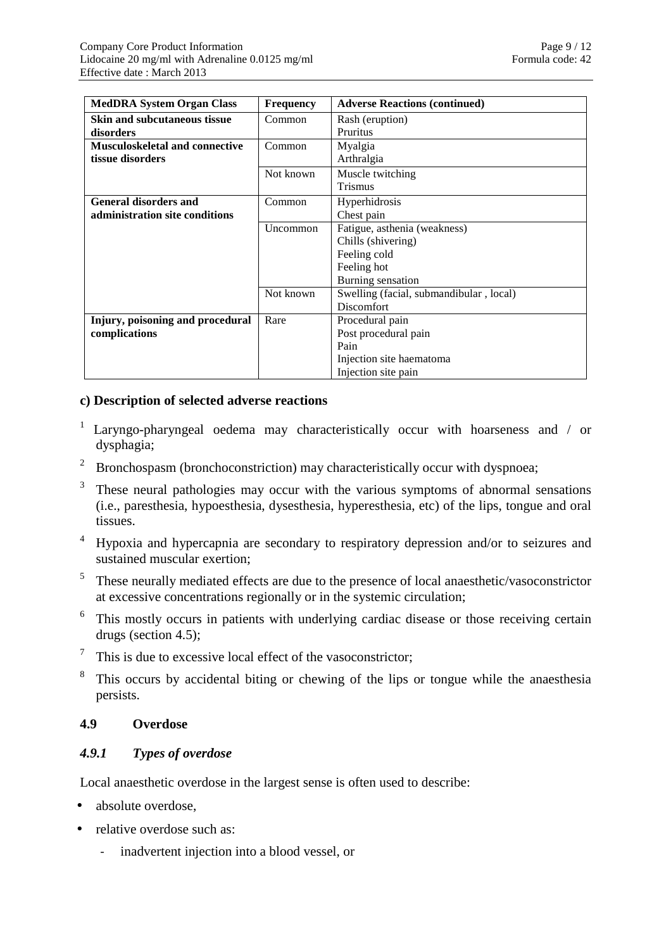| <b>MedDRA System Organ Class</b>       | <b>Frequency</b> | <b>Adverse Reactions (continued)</b>    |
|----------------------------------------|------------------|-----------------------------------------|
| Skin and subcutaneous tissue           | Common           | Rash (eruption)                         |
| disorders                              |                  | <b>Pruritus</b>                         |
| <b>Musculoskeletal and connective</b>  | Common           | Myalgia                                 |
| tissue disorders                       |                  | Arthralgia                              |
|                                        | Not known        | Muscle twitching                        |
|                                        |                  | <b>Trismus</b>                          |
| <b>General disorders and</b><br>Common |                  | Hyperhidrosis                           |
| administration site conditions         |                  | Chest pain                              |
|                                        | Uncommon         | Fatigue, asthenia (weakness)            |
|                                        |                  | Chills (shivering)                      |
|                                        |                  | Feeling cold                            |
|                                        |                  | Feeling hot                             |
|                                        |                  | Burning sensation                       |
|                                        | Not known        | Swelling (facial, submandibular, local) |
|                                        |                  | <b>Discomfort</b>                       |
| Injury, poisoning and procedural       | Rare             | Procedural pain                         |
| complications                          |                  | Post procedural pain                    |
|                                        |                  | Pain                                    |
|                                        |                  | Injection site haematoma                |
|                                        |                  | Injection site pain                     |

### **c) Description of selected adverse reactions**

- <sup>1</sup> Laryngo-pharyngeal oedema may characteristically occur with hoarseness and / or dysphagia;
- $2$  Bronchospasm (bronchoconstriction) may characteristically occur with dyspnoea;
- 3 These neural pathologies may occur with the various symptoms of abnormal sensations (i.e., paresthesia, hypoesthesia, dysesthesia, hyperesthesia, etc) of the lips, tongue and oral tissues.
- 4 Hypoxia and hypercapnia are secondary to respiratory depression and/or to seizures and sustained muscular exertion;
- $5$  These neurally mediated effects are due to the presence of local anaesthetic/vasoconstrictor at excessive concentrations regionally or in the systemic circulation;
- $6$ . This mostly occurs in patients with underlying cardiac disease or those receiving certain drugs (section 4.5);
- $\frac{7}{1}$ . This is due to excessive local effect of the vasoconstrictor;
- 8 This occurs by accidental biting or chewing of the lips or tongue while the anaesthesia persists.

# **4.9 Overdose**

# *4.9.1 Types of overdose*

Local anaesthetic overdose in the largest sense is often used to describe:

- absolute overdose,
- relative overdose such as:
	- inadvertent injection into a blood vessel, or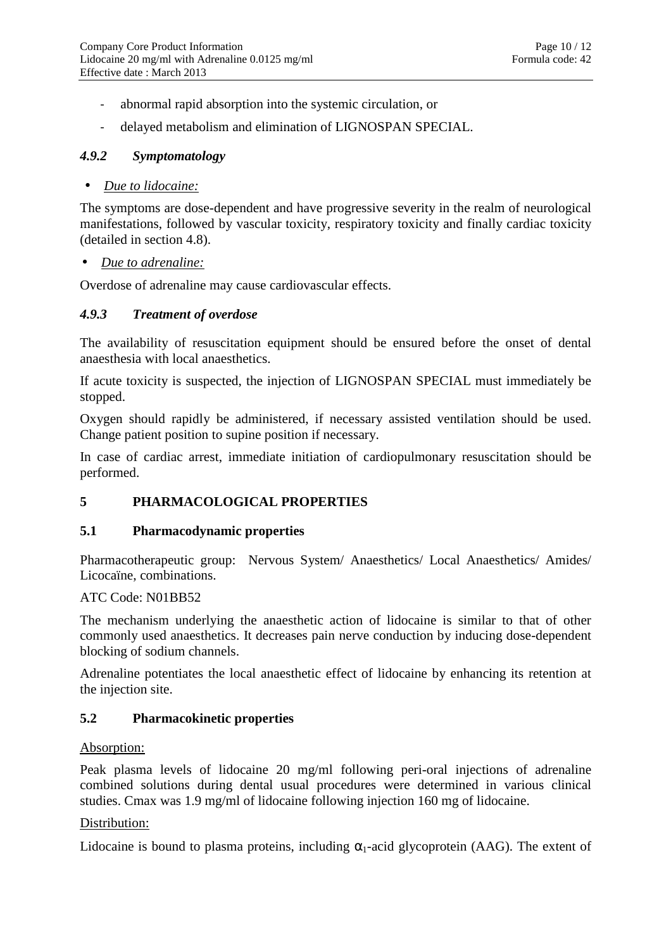- abnormal rapid absorption into the systemic circulation, or
- delayed metabolism and elimination of LIGNOSPAN SPECIAL.

### *4.9.2 Symptomatology*

### • *Due to lidocaine:*

The symptoms are dose-dependent and have progressive severity in the realm of neurological manifestations, followed by vascular toxicity, respiratory toxicity and finally cardiac toxicity (detailed in section 4.8).

#### • *Due to adrenaline:*

Overdose of adrenaline may cause cardiovascular effects.

### *4.9.3 Treatment of overdose*

The availability of resuscitation equipment should be ensured before the onset of dental anaesthesia with local anaesthetics.

If acute toxicity is suspected, the injection of LIGNOSPAN SPECIAL must immediately be stopped.

Oxygen should rapidly be administered, if necessary assisted ventilation should be used. Change patient position to supine position if necessary.

In case of cardiac arrest, immediate initiation of cardiopulmonary resuscitation should be performed.

# **5 PHARMACOLOGICAL PROPERTIES**

### **5.1 Pharmacodynamic properties**

Pharmacotherapeutic group: Nervous System/ Anaesthetics/ Local Anaesthetics/ Amides/ Licocaïne, combinations.

#### ATC Code: N01BB52

The mechanism underlying the anaesthetic action of lidocaine is similar to that of other commonly used anaesthetics. It decreases pain nerve conduction by inducing dose-dependent blocking of sodium channels.

Adrenaline potentiates the local anaesthetic effect of lidocaine by enhancing its retention at the injection site.

### **5.2 Pharmacokinetic properties**

#### Absorption:

Peak plasma levels of lidocaine 20 mg/ml following peri-oral injections of adrenaline combined solutions during dental usual procedures were determined in various clinical studies. Cmax was 1.9 mg/ml of lidocaine following injection 160 mg of lidocaine.

### Distribution:

Lidocaine is bound to plasma proteins, including  $\alpha_1$ -acid glycoprotein (AAG). The extent of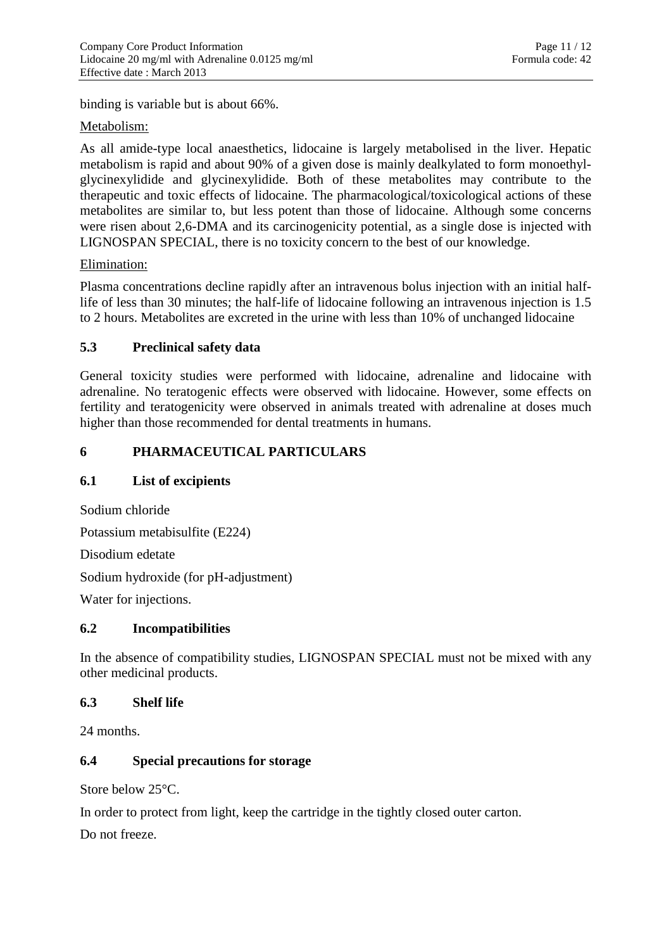binding is variable but is about 66%.

## Metabolism:

As all amide-type local anaesthetics, lidocaine is largely metabolised in the liver. Hepatic metabolism is rapid and about 90% of a given dose is mainly dealkylated to form monoethylglycinexylidide and glycinexylidide. Both of these metabolites may contribute to the therapeutic and toxic effects of lidocaine. The pharmacological/toxicological actions of these metabolites are similar to, but less potent than those of lidocaine. Although some concerns were risen about 2,6-DMA and its carcinogenicity potential, as a single dose is injected with LIGNOSPAN SPECIAL, there is no toxicity concern to the best of our knowledge.

## Elimination:

Plasma concentrations decline rapidly after an intravenous bolus injection with an initial halflife of less than 30 minutes; the half-life of lidocaine following an intravenous injection is 1.5 to 2 hours. Metabolites are excreted in the urine with less than 10% of unchanged lidocaine

# **5.3 Preclinical safety data**

General toxicity studies were performed with lidocaine, adrenaline and lidocaine with adrenaline. No teratogenic effects were observed with lidocaine. However, some effects on fertility and teratogenicity were observed in animals treated with adrenaline at doses much higher than those recommended for dental treatments in humans.

# **6 PHARMACEUTICAL PARTICULARS**

### **6.1 List of excipients**

Sodium chloride

Potassium metabisulfite (E224)

Disodium edetate

Sodium hydroxide (for pH-adjustment)

Water for injections.

### **6.2 Incompatibilities**

In the absence of compatibility studies, LIGNOSPAN SPECIAL must not be mixed with any other medicinal products.

### **6.3 Shelf life**

24 months.

# **6.4 Special precautions for storage**

Store below 25°C.

In order to protect from light, keep the cartridge in the tightly closed outer carton.

Do not freeze.